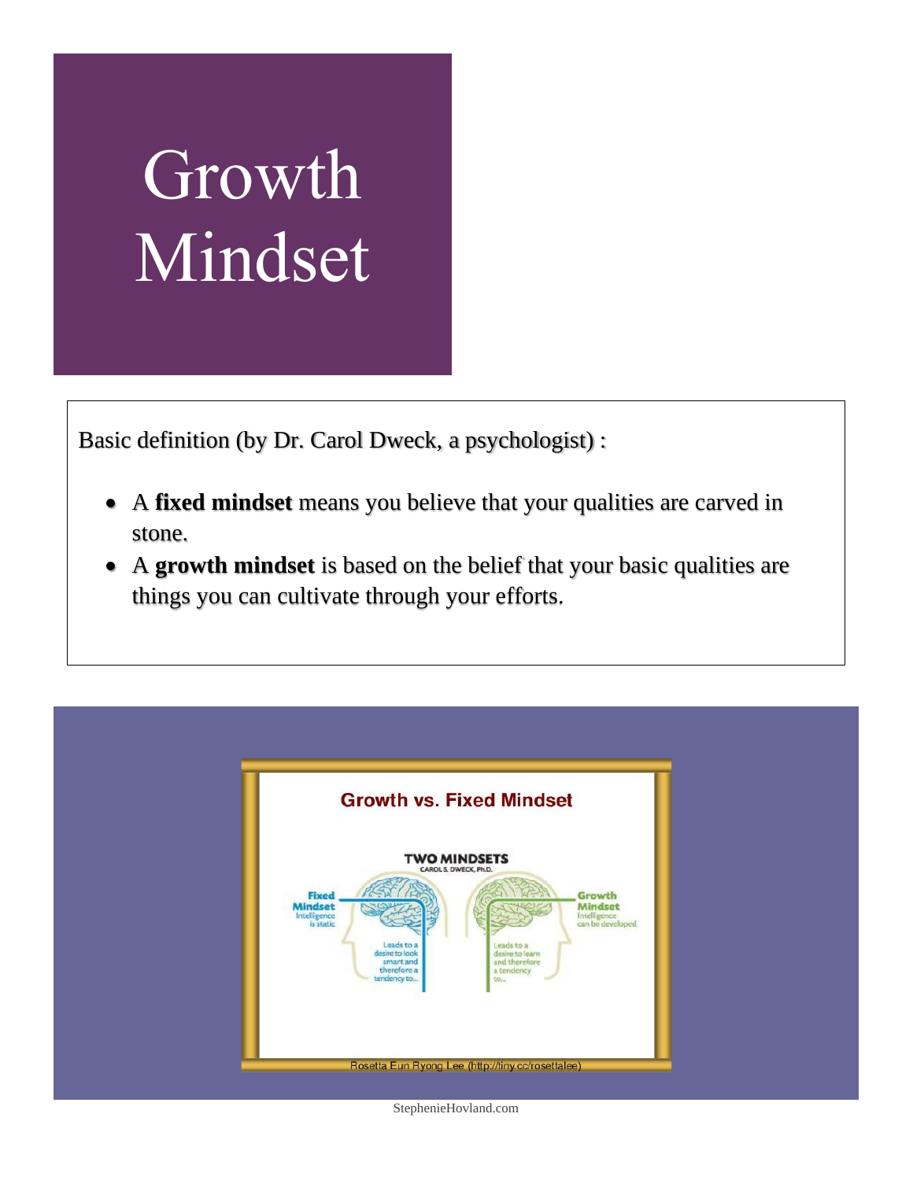## Growth Mindset

Basic definition (by Dr. Carol Dweck, a psychologist) :

- A **fixed mindset** means you believe that your qualities are carved in stone.
- A **growth mindset** is based on the belief that your basic qualities are things you can cultivate through your efforts.



StephenieHovland.com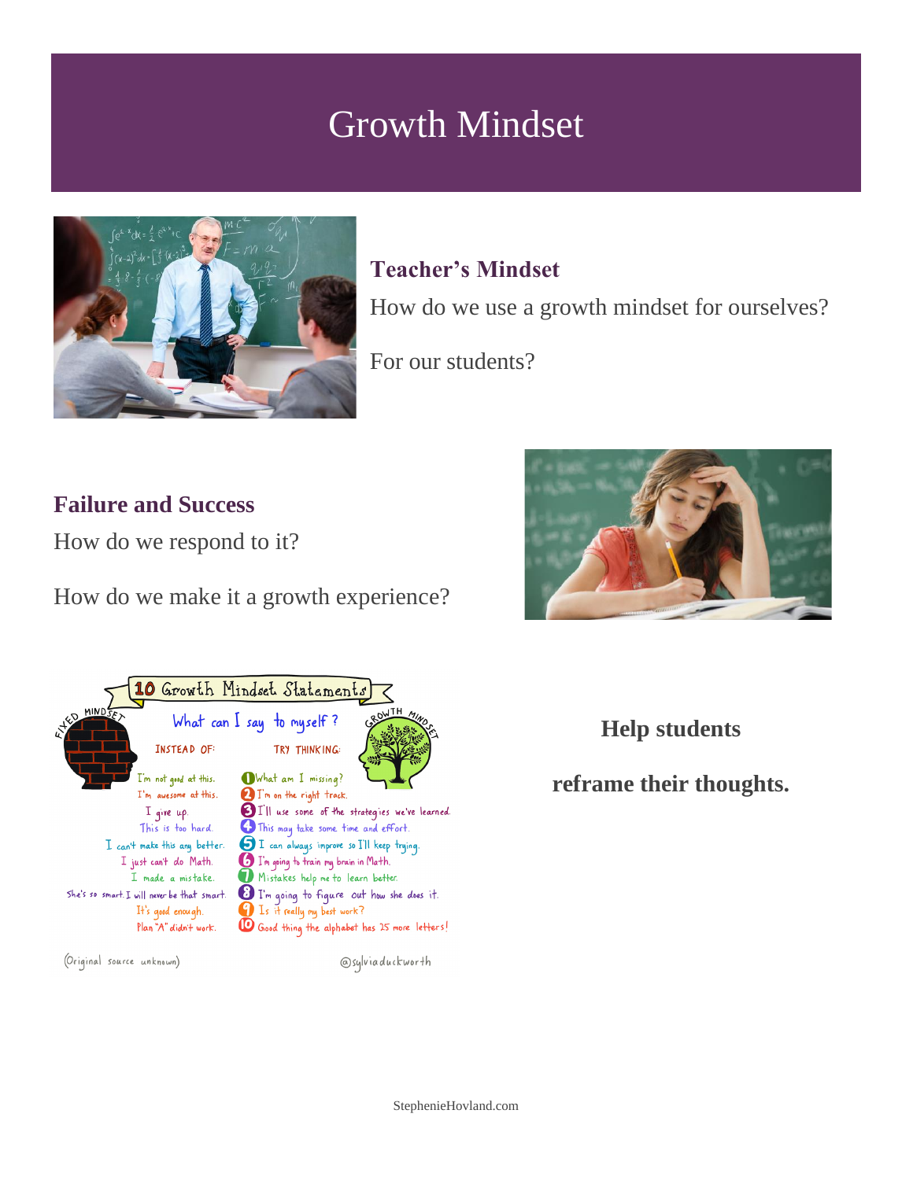## Growth Mindset



### **Teacher's Mindset**

How do we use a growth mindset for ourselves?

For our students?

#### **Failure and Success**

How do we respond to it?

How do we make it a growth experience?





(Original source unknown)

@sylviaduckworth

**Help students** 

**reframe their thoughts.**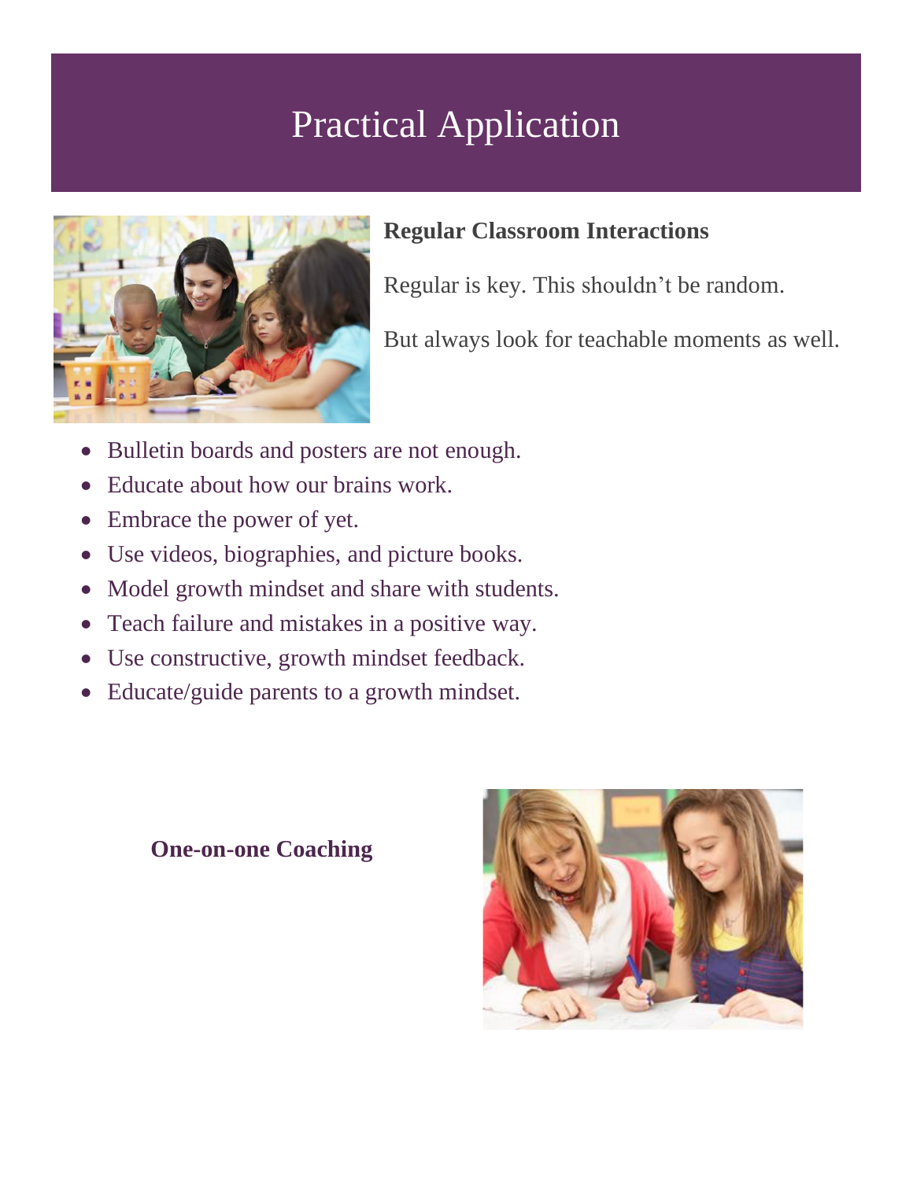## Practical Application



### **Regular Classroom Interactions**

Regular is key. This shouldn't be random.

But always look for teachable moments as well.

- Bulletin boards and posters are not enough.
- Educate about how our brains work.
- Embrace the power of yet.
- Use videos, biographies, and picture books.
- Model growth mindset and share with students.
- Teach failure and mistakes in a positive way.
- Use constructive, growth mindset feedback.
- Educate/guide parents to a growth mindset.

**One-on-one Coaching**